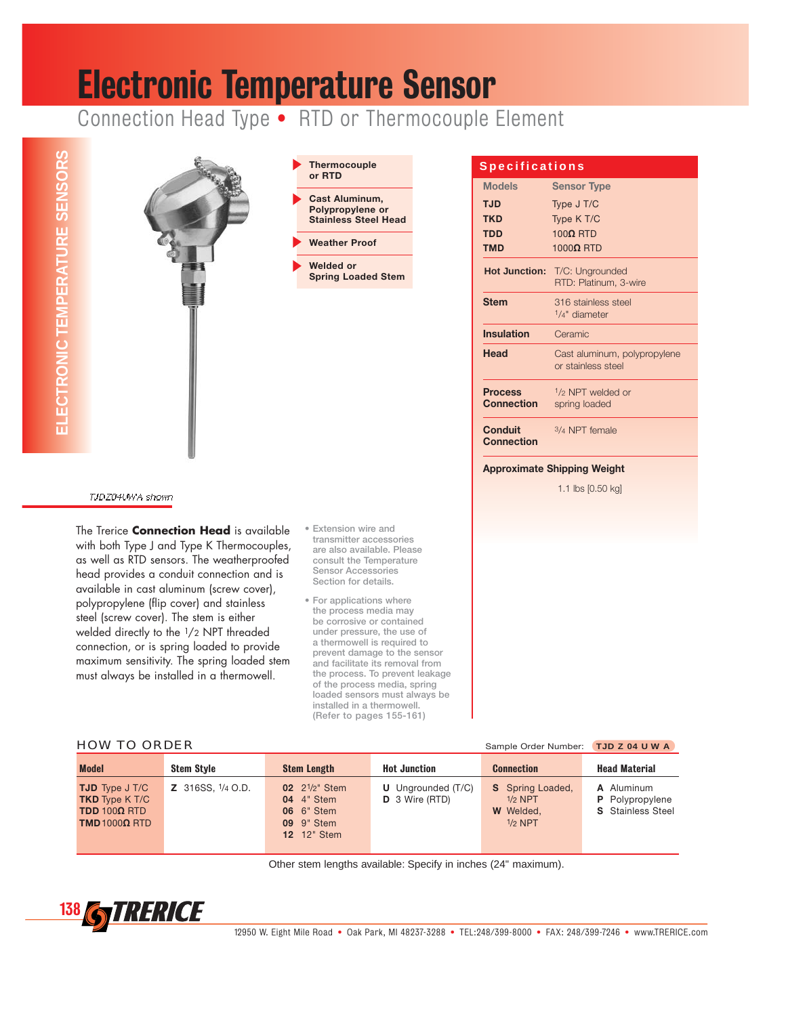## Electronic Temperature Sensor

Connection Head Type • RTD or Thermocouple Element



available in cast aluminum (screw cover), polypropylene (flip cover) and stainless steel (screw cover). The stem is either welded directly to the 1/2 NPT threaded connection, or is spring loaded to provide maximum sensitivity. The spring loaded stem must always be installed in a thermowell.

- **Section for details.**
- **For applications where the process media may be corrosive or contained under pressure, the use of a thermowell is required to prevent damage to the sensor and facilitate its removal from the process. To prevent leakage of the process media, spring loaded sensors must always be installed in a thermowell. (Refer to pages 155-161)**

#### HOW TO ORDER Sample Order Number: **TJD Z 04 U W A**

| <b>Model</b>                                                                                                    | <b>Stem Style</b> | <b>Stem Length</b>                                                                                                                  | <b>Hot Junction</b>                           | <b>Connection</b>                                                     | <b>Head Material</b>                                      |
|-----------------------------------------------------------------------------------------------------------------|-------------------|-------------------------------------------------------------------------------------------------------------------------------------|-----------------------------------------------|-----------------------------------------------------------------------|-----------------------------------------------------------|
| <b>TJD</b> Type J T/C<br><b>TKD</b> Type K T/C<br>TDD 100 $\Omega$ RTD<br><b>TMD1000<math>\Omega</math> RTD</b> | Z 316SS, 1/4 O.D. | <b>02</b> 2 <sup>1</sup> / <sub>2</sub> " Stem<br><b>04</b> 4" Stem<br><b>06</b> 6" Stem<br><b>09</b> 9" Stem<br><b>12</b> 12" Stem | <b>U</b> Ungrounded (T/C)<br>$D$ 3 Wire (RTD) | <b>S</b> Spring Loaded,<br>$1/2$ NPT<br><b>W</b> Welded,<br>$1/2$ NPT | A Aluminum<br>P Polypropylene<br><b>S</b> Stainless Steel |

Other stem lengths available: Specify in inches (24" maximum).

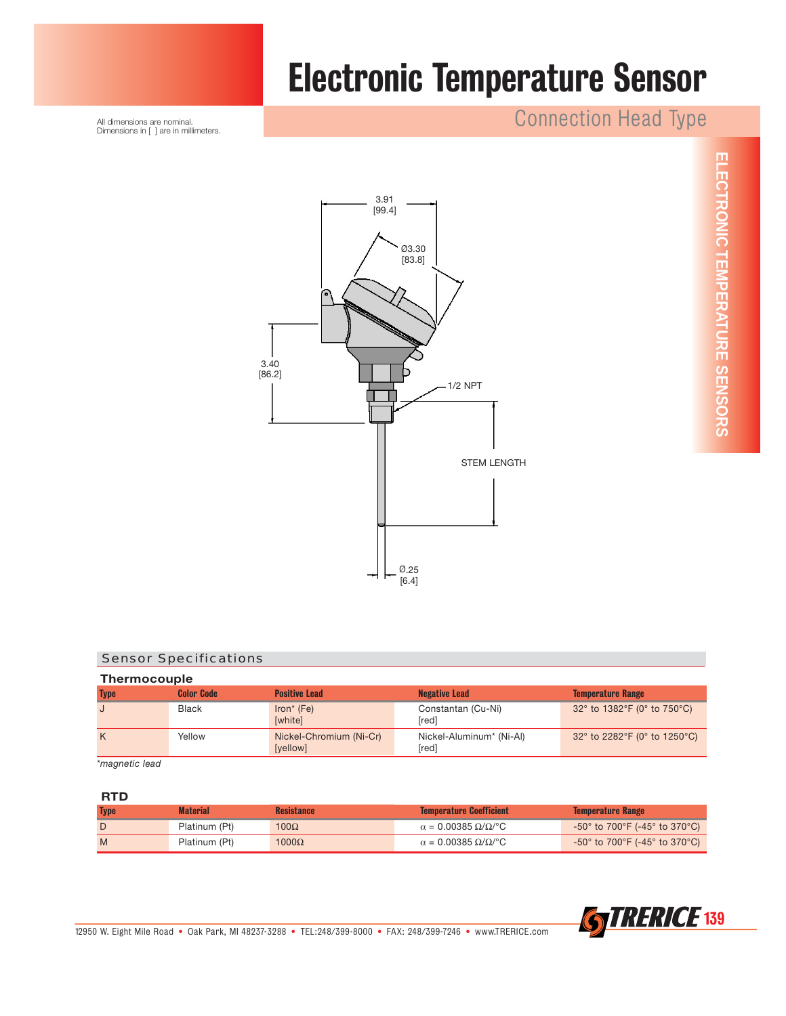

## Electronic Temperature Sensor

### Connection Head Type

All dimensions are nominal. Dimensions in [ ] are in millimeters.



#### Sensor Specifications

| <b>Thermocouple</b> |                   |                                     |                                   |                                                                        |  |
|---------------------|-------------------|-------------------------------------|-----------------------------------|------------------------------------------------------------------------|--|
| <b>Type</b>         | <b>Color Code</b> | <b>Positive Lead</b>                | <b>Negative Lead</b>              | <b>Temperature Range</b>                                               |  |
|                     | <b>Black</b>      | $Iron* (Fe)$<br>[white]             | Constantan (Cu-Ni)<br>[red]       | 32° to 1382°F (0° to 750°C)                                            |  |
| K                   | Yellow            | Nickel-Chromium (Ni-Cr)<br>[yellow] | Nickel-Aluminum* (Ni-Al)<br>[red] | 32 $^{\circ}$ to 2282 $^{\circ}$ F (0 $^{\circ}$ to 1250 $^{\circ}$ C) |  |

*\*magnetic lead*

#### **RTD**

| <b>Type</b> | <b>Material</b> | <b>Resistance</b> | <b>Temperature Coefficient</b>                    | <b>Temperature Range</b>                 |
|-------------|-----------------|-------------------|---------------------------------------------------|------------------------------------------|
|             | Platinum (Pt)   | $100\Omega$       | $\alpha = 0.00385 \Omega/\Omega$ <sup>o</sup> C   | -50° to 700°F (-45° to 370°C) $^{\circ}$ |
| M           | Platinum (Pt)   | $1000\Omega$      | $\alpha = 0.00385 \ \Omega/\Omega$ <sup>o</sup> C | -50° to 700°F (-45° to 370°C) $^{\circ}$ |

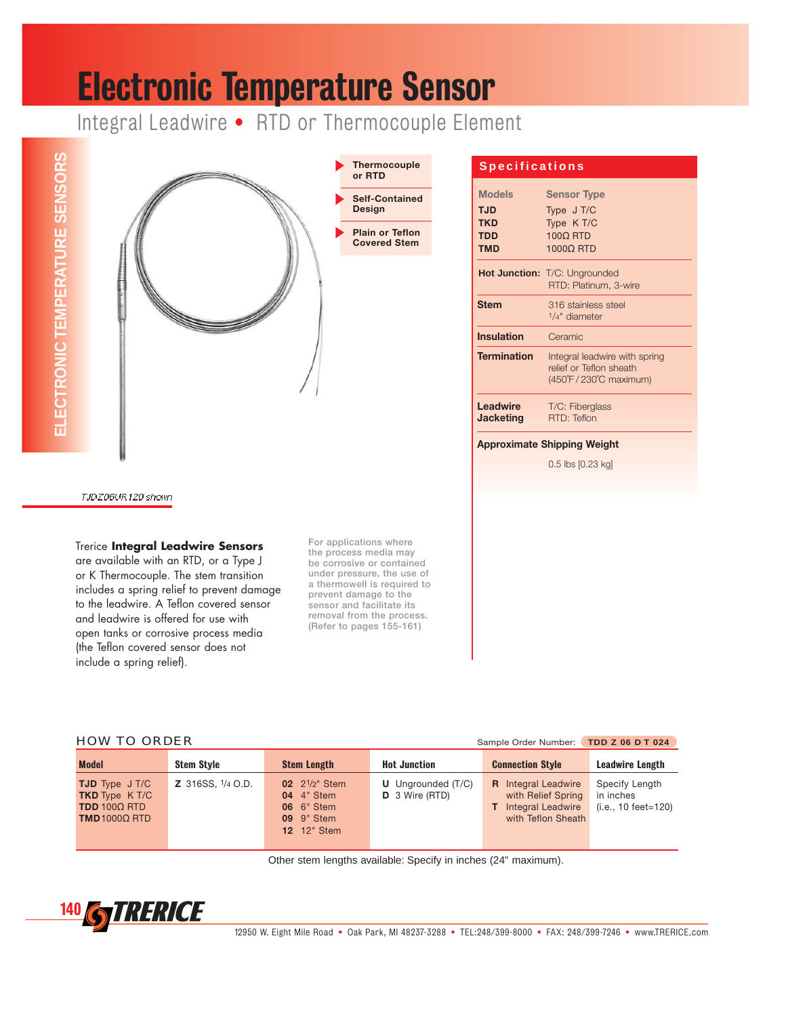### Electronic Temperature Sensor

Integral Leadwire • RTD or Thermocouple Element





#### **Specifications**

| <b>Models</b>                | <b>Sensor Type</b>                                                                  |
|------------------------------|-------------------------------------------------------------------------------------|
| TJD                          | Type J T/C                                                                          |
| <b>TKD</b>                   | Type K T/C                                                                          |
| <b>TDD</b>                   | 1000 RTD                                                                            |
| <b>TMD</b>                   | 1000Q RTD                                                                           |
|                              | Hot Junction: T/C: Ungrounded<br>RTD: Platinum, 3-wire                              |
| <b>Stem</b>                  | 316 stainless steel<br>$1/4"$ diameter                                              |
| <b>Insulation</b>            | Ceramic                                                                             |
| <b>Termination</b>           | Integral leadwire with spring<br>relief or Teflon sheath<br>(450°F / 230°C maximum) |
| Leadwire<br><b>Jacketing</b> | T/C: Fiberglass<br>RTD: Teflon                                                      |
|                              | <b>Approximate Shipping Weight</b>                                                  |

0.5 lbs [0.23 kg]

TJDZ06UR120 shown

Trerice **Integral Leadwire Sensors**

are available with an RTD, or a Type J or K Thermocouple. The stem transition includes a spring relief to prevent damage to the leadwire. A Teflon covered sensor and leadwire is offered for use with open tanks or corrosive process media (the Teflon covered sensor does not include a spring relief).

**For applications where the process media may be corrosive or contained under pressure, the use of a thermowell is required to prevent damage to the sensor and facilitate its removal from the process. (Refer to pages 155-161)**

|  |  | <b>HOW TO ORDER</b> |
|--|--|---------------------|
|  |  |                     |

| <b>HOW TO ORDER</b><br>Sample Order Number: TDD Z 06 D T 024                                                  |                   |                                                                                                                              |                                                    |                                                                                                      |                                                      |
|---------------------------------------------------------------------------------------------------------------|-------------------|------------------------------------------------------------------------------------------------------------------------------|----------------------------------------------------|------------------------------------------------------------------------------------------------------|------------------------------------------------------|
| <b>Model</b>                                                                                                  | <b>Stem Style</b> | <b>Stem Length</b>                                                                                                           | <b>Hot Junction</b>                                | <b>Connection Style</b>                                                                              | Leadwire Length                                      |
| <b>TJD</b> Type J T/C<br><b>TKD</b> Type K T/C<br><b>TDD</b> 100 $\Omega$ RTD<br><b>TMD</b> 1000 $\Omega$ RTD | Z 316SS, 1/4 O.D. | 02 2 <sup>1</sup> / <sub>2</sub> " Stem<br><b>04</b> 4" Stem<br><b>06</b> 6" Stem<br><b>09</b> 9" Stem<br><b>12</b> 12" Stem | <b>U</b> Ungrounded (T/C)<br><b>D</b> 3 Wire (RTD) | <b>R</b> Integral Leadwire<br>with Relief Spring<br><b>T</b> Integral Leadwire<br>with Teflon Sheath | Specify Length<br>in inches<br>$(i.e., 10 feet=120)$ |

Other stem lengths available: Specify in inches (24" maximum).

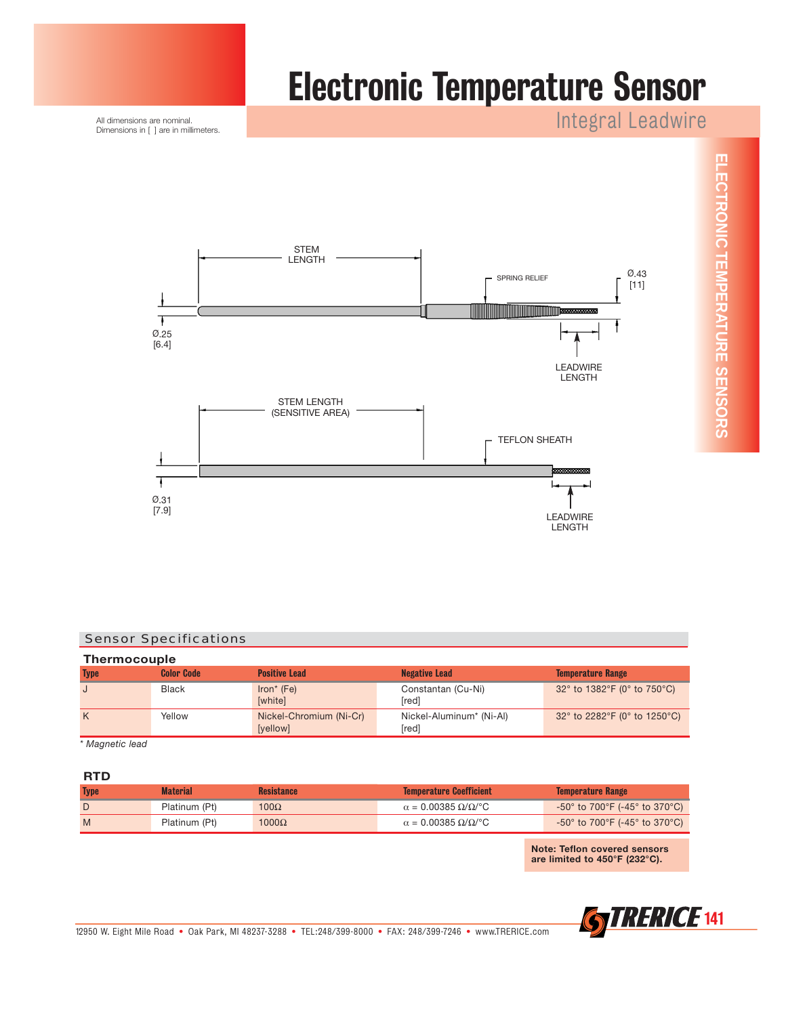

All dimensions are nominal. Dimensions in [ ] are in millimeters. Integral Leadwire

**ELECTRONIC TEMPERATURE SENSORS**

ELECTRONIC TEMPERATURE SENSORS



#### Sensor Specifications

| <b>Thermocouple</b> |                   |                                     |                                   |                                                                        |  |
|---------------------|-------------------|-------------------------------------|-----------------------------------|------------------------------------------------------------------------|--|
| <b>Type</b>         | <b>Color Code</b> | <b>Positive Lead</b>                | <b>Negative Lead</b>              | <b>Temperature Range</b>                                               |  |
|                     | Black             | $Iron* (Fe)$<br>[white]             | Constantan (Cu-Ni)<br>[red]       | 32 $^{\circ}$ to 1382 $^{\circ}$ F (0 $^{\circ}$ to 750 $^{\circ}$ C)  |  |
| K                   | Yellow            | Nickel-Chromium (Ni-Cr)<br>[yellow] | Nickel-Aluminum* (Ni-Al)<br>[red] | 32 $^{\circ}$ to 2282 $^{\circ}$ F (0 $^{\circ}$ to 1250 $^{\circ}$ C) |  |

*\* Magnetic lead*

#### **RTD**

| <b>Type</b> | <b>Material</b> | <b>Resistance</b> | <b>Temperature Coefficient</b>                  | <b>Temperature Range</b>                                                |
|-------------|-----------------|-------------------|-------------------------------------------------|-------------------------------------------------------------------------|
|             | Platinum (Pt)   | $100\Omega$       | $\alpha$ = 0.00385 $\Omega/\Omega$ /°C          | -50° to 700°F (-45° to 370°C) $^{\circ}$                                |
| M           | Platinum (Pt)   | $1000\Omega$      | $\alpha = 0.00385 \Omega/\Omega$ <sup>o</sup> C | -50 $^{\circ}$ to 700 $^{\circ}$ F (-45 $^{\circ}$ to 370 $^{\circ}$ C) |

**Note: Teflon covered sensors are limited to 450°F (232°C).**